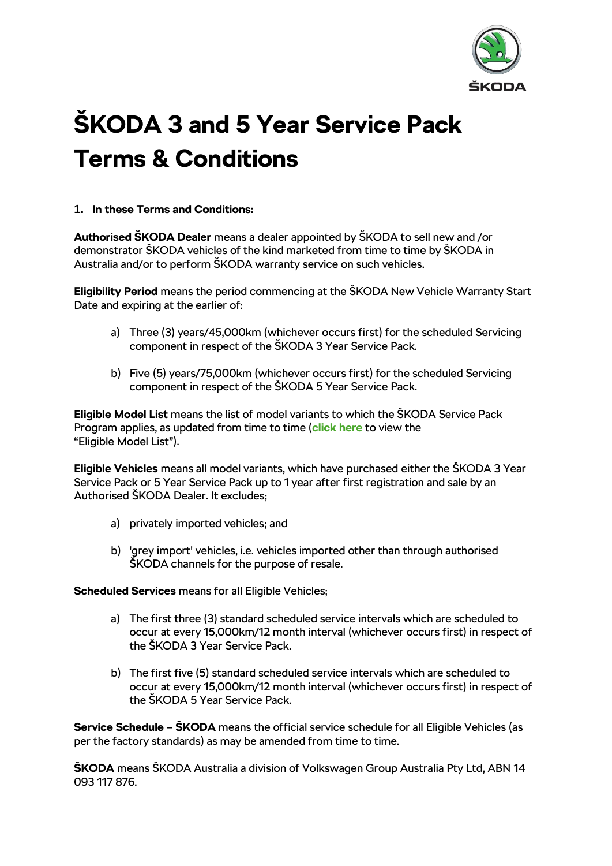

# **ŠKODA 3 and 5 Year Service Pack Terms & Conditions**

#### **1. In these Terms and Conditions:**

**Authorised ŠKODA Dealer** means a dealer appointed by ŠKODA to sell new and /or demonstrator ŠKODA vehicles of the kind marketed from time to time by ŠKODA in Australia and/or to perform ŠKODA warranty service on such vehicles.

**Eligibility Period** means the period commencing at the ŠKODA New Vehicle Warranty Start Date and expiring at the earlier of:

- a) Three (3) years/45,000km (whichever occurs first) for the scheduled Servicing component in respect of the ŠKODA 3 Year Service Pack.
- b) Five (5) years/75,000km (whichever occurs first) for the scheduled Servicing component in respect of the ŠKODA 5 Year Service Pack.

**Eligible Model List** means the list of model variants to which the ŠKODA Service Pack Program applies, as updated from time to time (**[click here](http://az749841.vo.msecnd.net/sitesenau/alv1/a1ddc723-4b24-41ac-a782-613a17a38833/Eligible%20Model%20List%202018.0ca5cf6f2865b28430a474ed9f67f084.pdf)** to view the "Eligible Model List").

**Eligible Vehicles** means all model variants, which have purchased either the ŠKODA 3 Year Service Pack or 5 Year Service Pack up to 1 year after first registration and sale by an Authorised ŠKODA Dealer. It excludes;

- a) privately imported vehicles; and
- b) 'grey import' vehicles, i.e. vehicles imported other than through authorised ŠKODA channels for the purpose of resale.

**Scheduled Services** means for all Eligible Vehicles;

- a) The first three (3) standard scheduled service intervals which are scheduled to occur at every 15,000km/12 month interval (whichever occurs first) in respect of the ŠKODA 3 Year Service Pack.
- b) The first five (5) standard scheduled service intervals which are scheduled to occur at every 15,000km/12 month interval (whichever occurs first) in respect of the ŠKODA 5 Year Service Pack.

**Service Schedule – ŠKODA** means the official service schedule for all Eligible Vehicles (as per the factory standards) as may be amended from time to time.

**ŠKODA** means ŠKODA Australia a division of Volkswagen Group Australia Pty Ltd, ABN 14 093 117 876.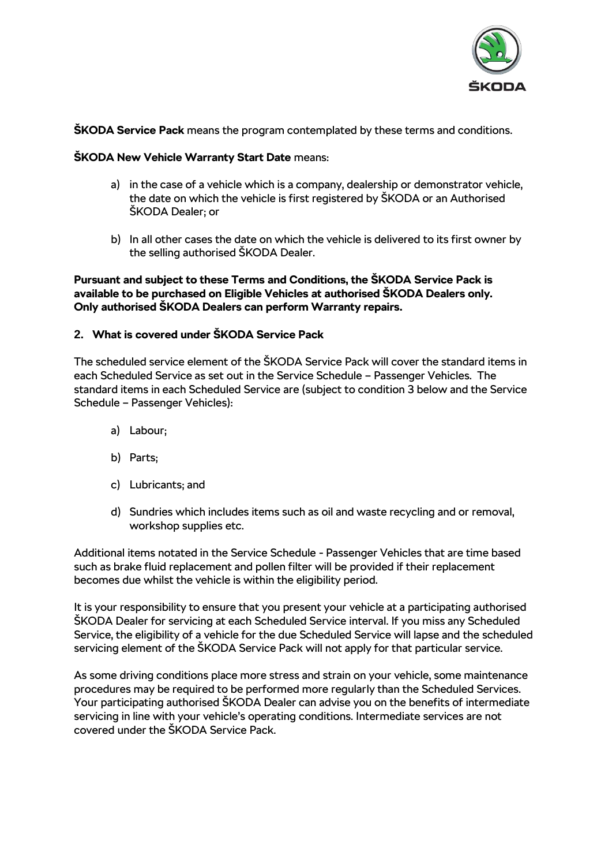

#### **ŠKODA Service Pack** means the program contemplated by these terms and conditions.

#### **ŠKODA New Vehicle Warranty Start Date** means:

- a) in the case of a vehicle which is a company, dealership or demonstrator vehicle, the date on which the vehicle is first registered by ŠKODA or an Authorised ŠKODA Dealer; or
- b) In all other cases the date on which the vehicle is delivered to its first owner by the selling authorised ŠKODA Dealer.

#### **Pursuant and subject to these Terms and Conditions, the ŠKODA Service Pack is available to be purchased on Eligible Vehicles at authorised ŠKODA Dealers only. Only authorised ŠKODA Dealers can perform Warranty repairs.**

### **2. What is covered under ŠKODA Service Pack**

The scheduled service element of the ŠKODA Service Pack will cover the standard items in each Scheduled Service as set out in the Service Schedule – Passenger Vehicles. The standard items in each Scheduled Service are (subject to condition 3 below and the Service Schedule – Passenger Vehicles):

- a) Labour;
- b) Parts;
- c) Lubricants; and
- d) Sundries which includes items such as oil and waste recycling and or removal, workshop supplies etc.

Additional items notated in the Service Schedule - Passenger Vehicles that are time based such as brake fluid replacement and pollen filter will be provided if their replacement becomes due whilst the vehicle is within the eligibility period.

It is your responsibility to ensure that you present your vehicle at a participating authorised ŠKODA Dealer for servicing at each Scheduled Service interval. If you miss any Scheduled Service, the eligibility of a vehicle for the due Scheduled Service will lapse and the scheduled servicing element of the ŠKODA Service Pack will not apply for that particular service.

As some driving conditions place more stress and strain on your vehicle, some maintenance procedures may be required to be performed more regularly than the Scheduled Services. Your participating authorised ŠKODA Dealer can advise you on the benefits of intermediate servicing in line with your vehicle's operating conditions. Intermediate services are not covered under the ŠKODA Service Pack.